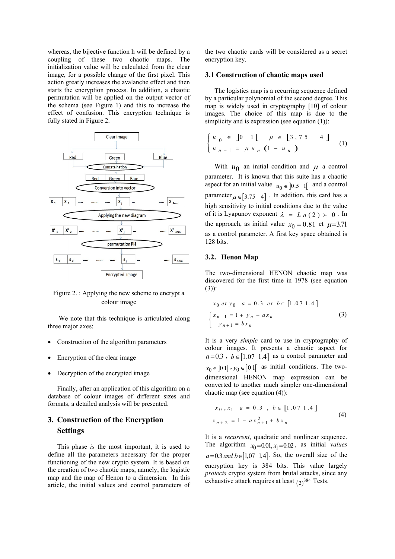whereas, the bijective function h will be defined by a coupling of these two chaotic maps. The initialization value will be calculated from the clear image, for a possible change of the first pixel. This action greatly increases the avalanche effect and then starts the encryption process. In addition, a chaotic permutation will be applied on the output vector of the schema (see Figure 1) and this to increase the effect of confusion. This encryption technique is fully stated in Figure 2.



Figure 2. : Applying the new scheme to encrypt a colour image

 We note that this technique is articulated along three major axes:

- Construction of the algorithm parameters
- Encryption of the clear image
- Decryption of the encrypted image

Finally, after an application of this algorithm on a database of colour images of different sizes and formats, a detailed analysis will be presented.

# 3. Construction of the Encryption Settings

This phase is the most important, it is used to define all the parameters necessary for the proper functioning of the new crypto system. It is based on the creation of two chaotic maps, namely, the logistic map and the map of Henon to a dimension. In this article, the initial values and control parameters of the two chaotic cards will be considered as a secret encryption key.

## 3.1 Construction of chaotic maps used

The logistics map is a recurring sequence defined by a particular polynomial of the second degree. This map is widely used in cryptography [10] of colour images. The choice of this map is due to the simplicity and is expression (see equation (1)): will be considered as a secret<br> **f chaotic maps used**<br>
is a recurring sequence defined<br>
mial of the second degree. This<br>
in cryptography [10] of colour<br>
of this map is due to the<br>
ession (see equation (1)):<br>  $\mu \in [3, 75 \$ 

$$
\begin{cases} u_0 \in J_0 & 1 \quad \mu \in [3, 75 \quad 4] \\ u_{n+1} = \mu u_n & (1 - u_n) \end{cases} \tag{1}
$$

With  $u_0$  an initial condition and  $\mu$  a control parameter. It is known that this suite has a chaotic aspect for an initial value  $u_0 \in ]0.5 \text{ I}[\text{ and a control}]$ parameter  $\mu \in [3.75 \ 4]$ . In addition, this card has a high sensitivity to initial conditions due to the value of it is Lyapunov exponent  $\lambda = L n (2) \succ 0$ . In the approach, as initial value  $x_0 = 0.81$  et  $\mu = 3.71$ as a control parameter. A first key space obtained is 128 bits.

# 3.2. Henon Map

The two-dimensional HENON chaotic map was discovered for the first time in 1978 (see equation (3)):

$$
x_0 \, et \, y_0 \quad a = 0.3 \, et \, b \in [1.07 \, 1.4]
$$
\n
$$
\begin{cases}\n x_{n+1} = 1 + y_n - ax_n \\
 y_{n+1} = bx_n\n\end{cases}
$$
\n(3)

It is a very *simple* card to use in cryptography of colour images. It presents a chaotic aspect for  $a=0.3$ ,  $b \in [1.07 \ 1.4]$  as a control parameter and  $x_0 \in ]0 1[$   $, y_0 \in ]0 1[$  as initial conditions. The twodimensional HENON map expression can be converted to another much simpler one-dimensional chaotic map (see equation (4)):  $\begin{cases} x_{n+1} = 1 + y_n - ax_n \\ y_{n+1} = bx_n \end{cases}$ <br>It is a very *simple* card to use in cryptography of<br>colour images. It presents a chaotic aspect for<br> $a=0.3$ ,  $b \in [1.07 \text{ 1.4}]$  as a control parameter and<br> $x_0 \in [0 \text{ 1} \cdot y_0 \in ]0 \text{$ 

$$
x_0, x_1 \quad a = 0.3 \quad b \in [1.07 \, 1.4]
$$
  

$$
x_{n+2} = 1 - a x_{n+1}^2 + b x_n
$$
 (4)

It is a recurrent, quadratic and nonlinear sequence. The algorithm  $x_0 = 0.01, x_1 = 0.02$ , as initial values  $a = 0.3$  and  $b \in [1, 07, 1, 4]$ . So, the overall size of the encryption key is 384 bits. This value largely protects crypto system from brutal attacks, since any exhaustive attack requires at least  $(2)^{384}$  Tests.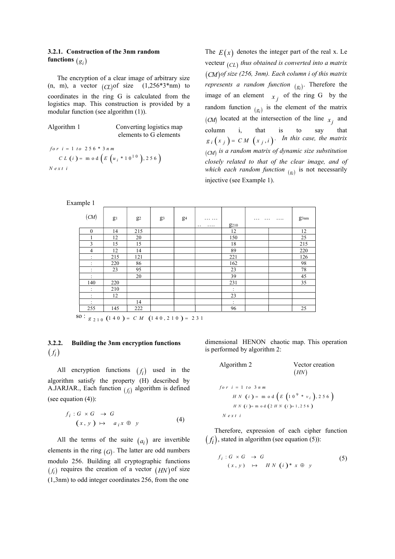# 3.2.1. Construction of the 3nm random functions  $(g_i)$

The encryption of a clear image of arbitrary size (n, m), a vector  $(C_L)$  of size  $(1,256^*3^*nm)$  to coordinates in the ring G is calculated from the logistics map. This construction is provided by a modular function (see algorithm (1)).

| Algorithm 1 | Converting logistics map |
|-------------|--------------------------|
|             | elements to G elements   |

 $CL (i) = m o d (E (u_i * 10^{10}), 256)$ for  $i = 1$  to  $256 * 3 nm$  $N$  e x t i

Construction of the 3nm random<br>
The  $E(x)$  denotes the integer part of the real x. Le<br>
stecture  $(C1)$  thus obtained is onwerted into a matrix<br>
a vector  $(C)$  of size (1,256\*3\*mm) to<br>
a vector  $(C)$  of size (1,256\*3\*mm) to<br>
a The  $E(x)$  denotes the integer part of the real x. Le vecteur  $_{(CL)}$  thus obtained is converted into a matrix CM of size (256, 3nm). Each column i of this matrix *represents a random function*  $(g_i)$ . Therefore the image of an element  $x_j$  of the ring G by the random function  $(g_i)$  is the element of the matrix (CM) located at the intersection of the line  $x_j$  and column i, that is to say that  $g_i(x_j) = CM(x_j, i)$ . In this case, the matrix  $(C_M)$  is a random matrix of dynamic size substitution closely related to that of the clear image, and of which each random function  $_{(g_i)}$  is not necessarily injective (see Example 1).

|                                                    | Example 1              |                                                                                              |       |       |       |                                 |                                                                               |          |                         |
|----------------------------------------------------|------------------------|----------------------------------------------------------------------------------------------|-------|-------|-------|---------------------------------|-------------------------------------------------------------------------------|----------|-------------------------|
|                                                    | (M)                    | $g_1$                                                                                        | $g_2$ | $g_3$ | $g_4$ | <br><br>g <sub>210</sub>        | $\cdots$                                                                      | $\cdots$ | $g_{3nm}$               |
|                                                    | 0                      | 14                                                                                           | 215   |       |       | 12                              |                                                                               |          | 12                      |
|                                                    |                        | 12                                                                                           | 20    |       |       | 150                             |                                                                               |          | 25                      |
|                                                    | $\overline{3}$         | 15                                                                                           | 15    |       |       | 18                              |                                                                               |          | 215                     |
|                                                    | $\overline{4}$         | 12                                                                                           | 14    |       |       | 89                              |                                                                               |          | 220                     |
|                                                    | $\ddot{\phantom{a}}$ . | 215                                                                                          | 121   |       |       | 221                             |                                                                               |          | 126                     |
|                                                    |                        | 220                                                                                          | 86    |       |       | 162                             |                                                                               |          | 98                      |
|                                                    |                        | 23                                                                                           | 95    |       |       | 23                              |                                                                               |          | 78                      |
|                                                    | $\sim$                 |                                                                                              | 20    |       |       | 39                              |                                                                               |          | 45                      |
|                                                    | 140                    | 220                                                                                          |       |       |       | 231                             |                                                                               |          | 35                      |
|                                                    | $\ddot{\phantom{a}}$ . | 210                                                                                          |       |       |       | $\ddot{\phantom{a}}$            |                                                                               |          |                         |
|                                                    | $\ddot{\phantom{a}}$ . | 12                                                                                           |       |       |       | 23                              |                                                                               |          |                         |
|                                                    | $\ddot{\cdot}$         |                                                                                              | 14    |       |       |                                 |                                                                               |          |                         |
|                                                    | 255                    | 145                                                                                          | 222   |       |       | 96                              |                                                                               |          | 25                      |
|                                                    |                        |                                                                                              |       |       |       |                                 |                                                                               |          |                         |
|                                                    |                        | Building the 3nm encryption functions                                                        |       |       |       |                                 | dimensional HENON chaotic map. This operation<br>is performed by algorithm 2: |          |                         |
|                                                    |                        | encryption functions $(f_i)$ used in the                                                     |       |       |       | Algorithm 2                     |                                                                               |          | Vector creation<br>(HN) |
|                                                    |                        | hm satisfy the property (H) described by<br>JAR., Each function $(f_i)$ algorithm is defined |       |       |       |                                 | $for i = 1 to 3 nm$<br>$H N$ (i) = m o d $(E (109 * vi), 256)$                |          |                         |
|                                                    |                        | $(x, y) \mapsto a_i x \oplus y$                                                              |       |       | (4)   | $N$ ext i                       | $H N$ (i)= m o d (2 $H N$ (i)+1,256)                                          |          |                         |
|                                                    |                        |                                                                                              |       |       |       |                                 | Therefore, expression of each cipher function                                 |          |                         |
| quation $(4)$ :<br>$f_i: G \times G \rightarrow G$ |                        | the terms of the suite $(a_i)$ are invertible                                                |       |       |       |                                 | $(f_i)$ , stated in algorithm (see equation (5)):                             |          |                         |
|                                                    |                        | ts in the ring $(G)$ . The latter are odd numbers                                            |       |       |       | $f_i:G\times G\ \rightarrow\ G$ |                                                                               |          |                         |

# 3.2.2. Building the 3nm encryption functions  $(f_i)$

All encryption functions  $(f_i)$  used in the algorithm satisfy the property (H) described by A.JARJAR., Each function  $(f_i)$  algorithm is defined (see equation (4)):

$$
f_i: G \times G \to G
$$
  

$$
(x, y) \mapsto a_i x \oplus y
$$
 (4)

All the terms of the suite  $(a_i)$  are invertible  $(f_i)$ elements in the ring  $(G)$ . The latter are odd numbers modulo 256. Building all cryptographic functions  $(f_i)$  requires the creation of a vector  $(HN)$  of size (1,3nm) to odd integer coordinates 256, from the one

Algorithm 2 Vector creation HN 9 m o d 2 1 , 2 5 6 1 3 m o d 1 0 \* , 2 5 6 <sup>i</sup> H N i H N i f o r i t o n m H N i E v N e x t i 

$$
f_i: G \times G \to G
$$
  
(x, y)  $\mapsto HN(i)*x \oplus y$  (5)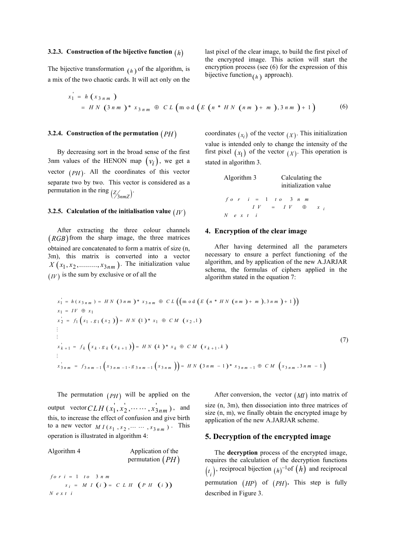#### 3.2.3. Construction of the bijective function  $(h)$

The bijective transformation  $(h)$  of the algorithm, is a mix of the two chaotic cards. It will act only on the

last pixel of the clear image, to build the first pixel of the encrypted image. This action will start the encryption process (see (6) for the expression of this bijective function  $(h)$  approach).

Construction of the bijective function 
$$
(h)
$$

\nlast pixel of the clear image, to build the first pixel of the encrypted image. This action will start the encryption process (see (6) for the expression of this bijective function  $(h)$  approach).

\n $x_1 = h(x_3, m)$ 

\n $= H N (3 n m)^* x_3 n m \oplus C L (m o d (E (n * H N (n m) + m), 3 n m) + 1)$ 

\nConstruction of the permutation  $(PH)$ 

\nConstruction of the permutation  $(PH)$ 

\nConstruction of the permutation  $(PH)$ 

\nContribution

\nExample:

### 3.2.4. Construction of the permutation  $(PH)$

By decreasing sort in the broad sense of the first 3nm values of the HENON map  $(v_i)$ , we get a vector  $(PH)$ . All the coordinates of this vector separate two by two. This vector is considered as a permutation in the ring  $\left(\frac{Z}{3nmZ}\right)$ . .

### 3.2.5. Calculation of the initialisation value  $(IV)$

After extracting the three colour channels  $(RGB)$  from the sharp image, the three matrices obtained are concatenated to form a matrix of size (n, 3m), this matrix is converted into a vector  $X(x_1, x_2, \ldots, x_{3nm})$ . The initialization value  $(IV)$  is the sum by exclusive or of all the

coordinates  $(x_i)$  of the vector  $(X)$ . This initialization value is intended only to change the intensity of the first pixel  $(x_1)$  of the vector  $(x)$ . This operation is stated in algorithm 3.

Algorithm 3 Calculating the initialization value  
\n
$$
f \circ r \quad i = 1 \quad t \circ 3 \quad n \quad m
$$
  
\n $I V = I V \quad \oplus \quad x \quad i$   
\n $N \quad e \quad x \quad t \quad i$ 

### 4. Encryption of the clear image

After having determined all the parameters necessary to ensure a perfect functioning of the algorithm, and by application of the new A.JARJAR schema, the formulas of ciphers applied in the algorithm stated in the equation 7:

1.4. Construction of the permutation 
$$
(PH)
$$
 coordinates  $(x_i)$  of the vector  $(x_i)$ . This initialization  
\nBy decreasing sort in the broad sense of the first first pick  $(x_i)$  of the vector  $(x)$ . This operation is  
\nm values of the HENON map  $(y_i)$ , we get a  
\nstate two by two. This vector is considered as a  
\nfunction in the ring  $(\frac{x}{2\sqrt{3mn}})^2$   
\n $f \circ r = 1 + r \circ 3 + m$   
\nAfter extracting the three colour channels  
\nandition in the ring  $(\frac{x}{2\sqrt{3mn}})^2$   
\n $f \circ r = 1 + r \circ 3 + m$   
\nAfter extracting the three colour channels  
\nand the maximum value  $(H') = N \times x + i$   
\nAfter increasing the three colour channels  
\n $(x_1, x_2, \ldots, x_{3nm})$ . The initialization value  
\n $(x_1, x_2, \ldots, x_{3nm})$ . The initialization value  
\nsolution are connected to form a matrix of size (n,  
\n $(x_1, x_2, \ldots, x_{3nm})$ . The initialization value is  
\n $(x_1, x_2, \ldots, x_{3nm})$ . The initialization value is  
\n $x_i = h(x_1, x_2, \ldots, x_{3nm})$ . The initialization value is  
\n $x_i = h(x_1, x_2, \ldots, x_{3nm})$ . The initialization value is  
\n $x_i = f(x_1, x_1, (x_2) = H \times (3 + m)^{-\alpha} x_3 = 0 \quad C L \left( (\text{mod } (\ell \ (\alpha * H \times (n\ m) + \pi)) . 3 + m) + 1 ) \right)$   
\n $x_i = I^c \circ x_i$   
\n $x_i = f_i(x_i, x_i(x_2) = H \times (1)^{-\alpha} x_i \circ 0 \quad C L \left( (\text{mod } (\ell \ (\alpha * H \times (n\ m) + \pi)) . 3 + m) + 1 ) \right)$   
\n $x_i = H^c \circ x_i$   
\n $\therefore$   $f_i(x_i, x_i(x_2) = H \times (1)^{-\alpha} x_i \circ 0 \quad C L \left( (\text{mod } (\ell \ (\alpha * H \times (n\ m) + \pi)) . 3 + m) + 1 ) \right)$   
\n $x_i = H^c \left( x_i, x_i(x_$ 

The permutation  $(PH)$  will be applied on the output vector  $CLH(x_1^{'}, x_2^{'}, \cdots, x_{3n m}^{'})$ , and this, to increase the effect of confusion and give birth to a new vector  $MI(s_1, s_2, \dots, s_{3nm})$ . This operation is illustrated in algorithm 4:

| Algorithm 4 | Application of the |  |  |  |
|-------------|--------------------|--|--|--|
|             | permutation $(PH)$ |  |  |  |

$$
for i = 1 to 3 n m
$$
  

$$
s_i = M I (i) = C L H (PH (i))
$$
  

$$
Next i
$$

After conversion, the vector  $(M)$  into matrix of size (n, 3m), then dissociation into three matrices of size (n, m), we finally obtain the encrypted image by application of the new A.JARJAR scheme.

# 5. Decryption of the encrypted image

permutation  $(PH)$  requires the calculation of the decryption functions The decryption process of the encrypted image,  $\left(t_i\right)$ , reciprocal bijection  $\left(h\right)^{-1}$  of  $\left(h\right)$  and reciprocal permutation  $(HP)$  of  $(PH)$ . This step is fully described in Figure 3.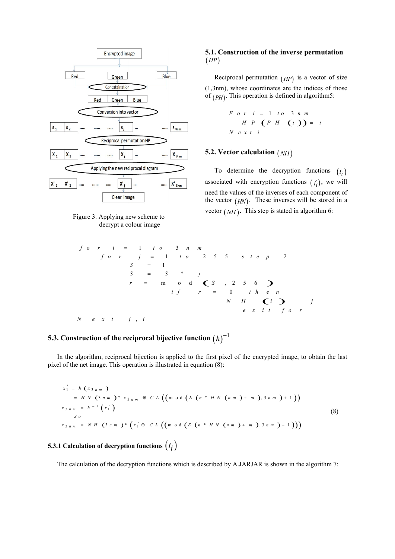



# 5.1. Construction of the inverse permutation  $(HP)$

Reciprocal permutation  $(HP)$  is a vector of size (1,3nm), whose coordinates are the indices of those of  $(PH)$ . This operation is defined in algorithm5: werse permutation<br>  $(p)$  is a vector of size<br>
re the indices of those<br>
ned in algorithm5:<br>  $\begin{pmatrix} 3 & n & m \\ 0 & 0 & 0 \end{pmatrix} = i$ <br>  $\begin{pmatrix} i & 0 \\ 0 & 1 \end{pmatrix} = i$ 

$$
F \circ r \quad i = 1 \quad t \circ \quad 3 \quad n \quad m
$$
\n
$$
H \quad P \quad (P \quad H \quad (i \quad)) = i
$$
\n
$$
N \quad e \quad x \quad t \quad i
$$

# 5.2. Vector calculation  $(NH)$

To determine the decryption functions  $(t_i)$  $\binom{i}{i}$ associated with encryption functions  $(f_i)$ , we will need the values of the inverses of each component of the vector  $(HN)$ . These inverses will be stored in a vector  $(NH)$ . This step is stated in algorithm 6: **tion** (*NH*)<br>
he decryption functions (*t<sub>i</sub>*)<br>
yption functions (*f<sub>i</sub>*), we will<br>
e inverses of each component of<br>
ese inverses will be stored in a<br>
tep is stated in algorithm 6:<br>  $p$ <br>  $p$ <br>  $2$ <br>  $\sum e_n$ <br>  $\sum i$ <br>  $f$  o r

 1 3 1 2 5 5 2 1 \* m o d , 2 5 6 0 , f o r i t o n m f o r j t o s t e p S S S j r S i f r t h e n N H i j e x i t f o r N e x t j i 5.3. Construction of the reciprocal bijective function <sup>1</sup> 

# $h)^{-1}$

In the algorithm, reciprocal bijection is applied to the first pixel of the encrypted image, to obtain the last pixel of the net image. This operation is illustrated in equation (8):

$$
x_1 = h (x_{3nm})
$$
  
\n=  $H N (3nm)^* x_{3nm} \oplus CL ((m \circ d (E (n * H N (nm) + m), 3nm) + 1))$   
\n
$$
x_{3nm} = h^{-1} (x_1)
$$
  
\nSo  
\n
$$
x_{3nm} = N H (3nm)^* (x_1 \oplus CL ((m \circ d (E (n * H N (nm) + m), 3nm) + 1)))
$$
\n(8)

# 5.3.1 Calculation of decryption functions  $\big(t_i\big)$

The calculation of the decryption functions which is described by A.JARJAR is shown in the algorithm 7: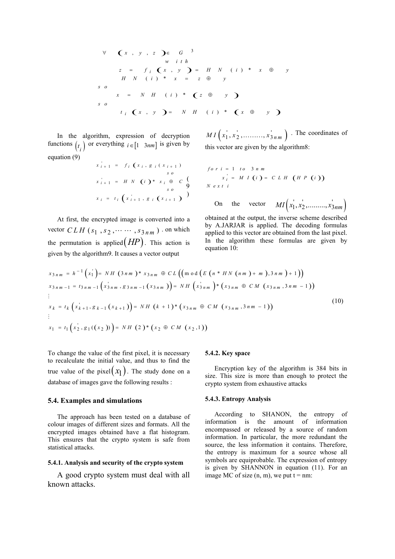3 , , , ( ) \* ( ) \* ( ) \* , ( ) \* i i x y z G w i t h z f x y H N i x y H N i x z y s o x N H i z y s o t x y N H i x y 

In the algorithm, expression of decryption functions  $\begin{pmatrix} t_i \end{pmatrix}$  or everything  $i \in [1 \ 3nm]$  is given by this vect equation (9)

$$
x_{i+1}^{i} = f_i(x_i, g_i(x_{i+1})
$$
  
\n
$$
y_0
$$
  
\n
$$
x_{i+1}^{i} = H N (i) * x_i \oplus C \n \begin{cases} \n \text{for } i = 1 \text{ to } 3 \text{ nm} \\ \n \text{for } i = 1 \text{ to } 3 \text{ nm} \n \end{cases}
$$
  
\n
$$
x_i = t_i(x_{i+1}^{i}, g_i(x_{i+1})
$$

At first, the encrypted image is converted into a vector  $CLH$  ( $s_1$ ,  $s_2$ ,  $\dots$ ,  $s_{3nm}$ ). on which the permutation is applied  $(HP)$ . This action is given by the algorithm9. It causes a vector output

$$
MI(x_1, x_2, \dots, x_{3nm})
$$
. The coordinates of  
this vector are given by the algorithm8:

$$
\forall (x, y, z) \in G
$$
  
\n
$$
y \text{ if } h
$$
  
\n
$$
z = f_i(x, y) = H N (i) * x \oplus y
$$
  
\n
$$
x = N H (i) * (z \oplus y)
$$
  
\n
$$
x = N H (i) * (z \oplus y)
$$
  
\n
$$
x = N H (i) * (z \oplus y)
$$
  
\n
$$
x = N H (i) * (x \oplus y)
$$
  
\n
$$
x = N H (i) * (x \oplus y)
$$
  
\n
$$
x = N H (i) * (x \oplus y)
$$
  
\n
$$
M I(x_1, x_2', \dots, x_{3nm}')
$$
. The coordinates of  
\n
$$
x_{i+1} = f_i(x_i, g_i(x_{i+1})
$$
  
\n
$$
f \circ r = 1 \text{ to } 3 \text{ nm}
$$
  
\n
$$
x_{i+1} = H N (i) * x_i \oplus c \begin{cases} x_i = M I (i) = C L H (H P (i)) \end{cases}
$$
  
\n
$$
x_i = t_i (x_{i+1}^2, g_i(x_{i+1}))
$$
  
\nOn the vector 
$$
M I(x_1, x_2', \dots, x_{3nm}')
$$

obtained at the output, the inverse scheme described by A.JARJAR is applied. The decoding formulas applied to this vector are obtained from the last pixel. In the algorithm these formulas are given by equation 10:

$$
s = 0
$$
\nIn the algorithm, expression of decryption functions  $(t_i)$  or everything  $i \in [1, 3nm]$  is given by this vector are given by the algorithm. The coordinates of this vector are given by the algorithm. The coordinates of this vector are given by the algorithm. The coordinates of the first point is given by the algorithm. The equation (9)  
\n
$$
x_{i+1} = f_i(x_i, g_i(x_{i+1}))
$$
\n
$$
f_i(x_i, g_j(x_{i+1}))
$$
\n
$$
y_i = f_i(x_i, g_i(x_{i+1}))
$$
\n
$$
y_i = f_i(x_{i+1}, g_i(x_{i+1}))
$$
\nAt first, the encrypted image is converted into a obtained at the output, the inverse scheme described by AJARJAR is applied. The decoding formulas  
\nvector  $CLH$  (s<sub>1</sub>, s<sub>2</sub>,..., s<sub>3nm</sub>) . on which applied to this vector are obtained from the last pixel.  
\nthe permutation is applied  $(HP)$ . This action is in the algorithm these formulas are given by  
\ngiven by the algorithm. It causes a vector output  
\n
$$
x_{3nm} = h^{-1}(x_1) = NH(3nm)^* x_{3nm} \oplus CL((\text{mod } (E(n * HN(nm) + m), 3nm) + 1))
$$
\n
$$
x_{3nm} = h^{-1}(x_1) = NH(3nm)^* x_{3nm} \oplus CL((\text{mod } (E(n * HN(nm) + m), 3nm) + 1))
$$
\n
$$
x_{3nm} = h^{-1}(x_1) = NH(3nm)^* x_{3nm} \oplus CL((\text{mod } (E(n * HN(nm) + m), 3nm) + 1))
$$
\n
$$
y_{3nm} = h^{-1}(x_1) = NH(3nm)^* x_{3nm} \oplus CL((\text{mod } (E(n * HN(nm) + m), 3nm) + 1))
$$
\n
$$
y_{3nm} = h^{-1}(x_1) = NH(3nm)^* x_{3nm} \oplus CL((\text{mod } (E(n * HN(nm) + m), 3nm) + 1))
$$
\n
$$
y_{3nm} = h^{-1}(x_2) = (x_1(x_3) = NH(0) + (x_3 = NM(0)) + (x_3 = NM(0)) + (x_3 = NM(0)) + (x_3 = NM(0)) + (x_3 = NM(0)) + (x_3 = NM(0)) + (
$$

To change the value of the first pixel, it is necessary to recalculate the initial value, and thus to find the true value of the pixel  $(x_1)$ . The study done on a database of images gave the following results :

### 5.4. Examples and simulations

The approach has been tested on a database of colour images of different sizes and formats. All the encrypted images obtained have a flat histogram. This ensures that the crypto system is safe from statistical attacks.

# 5.4.1. Analysis and security of the crypto system

A good crypto system must deal with all known attacks.

### 5.4.2. Key space

Encryption key of the algorithm is 384 bits in size. This size is more than enough to protect the crypto system from exhaustive attacks

### 5.4.3. Entropy Analysis

According to SHANON, the entropy of information is the amount of information encompassed or released by a source of random information. In particular, the more redundant the source, the less information it contains. Therefore, the entropy is maximum for a source whose all symbols are equiprobable. The expression of entropy is given by SHANNON in equation (11). For an image MC of size  $(n, m)$ , we put  $t = nm$ :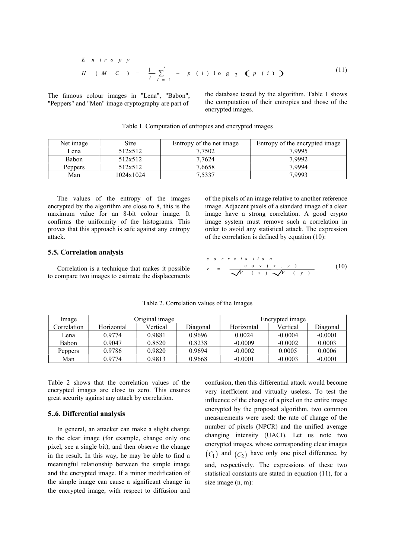E n tr o p y  
\nH (M C) = 
$$
\frac{1}{t} \sum_{i=1}^{t}
$$
 - p (i) lo g 2 (p (i)) (11)  
\nso colour images in "Lena", "Babon", the database tested by the algorithm. Table 1 shows  
\nand "Men" image cryptography are part of  
\nenergypted images. (11)

The famous colour images in "Lena", "Babon", "Peppers" and "Men" image cryptography are part of the database tested by the algorithm. Table 1 shows the computation of their entropies and those of the encrypted images.

| Net image      | Size      | Entropy of the net image | Entropy of the encrypted image |
|----------------|-----------|--------------------------|--------------------------------|
| Lena           | 512x512   | 7,7502                   | 7.9995                         |
| Babon          | 512x512   | 7.7624                   | 7.9992                         |
| <b>Peppers</b> | 512x512   | 7,6658                   | 7.9994                         |
| Man            | 1024x1024 | 7,5337                   | 7.9993                         |

Table 1. Computation of entropies and encrypted images

The values of the entropy of the images encrypted by the algorithm are close to 8, this is the maximum value for an 8-bit colour image. It confirms the uniformity of the histograms. This proves that this approach is safe against any entropy attack.

of the pixels of an image relative to another reference image. Adjacent pixels of a standard image of a clear image have a strong correlation. A good crypto image system must remove such a correlation in order to avoid any statistical attack. The expression of the correlation is defined by equation (10):

### 5.5. Correlation analysis

Correlation is a technique that makes it possible to compare two images to estimate the displacements

$$
c \circ r \circ e \quad l \quad a \quad t \quad i \quad o \quad n
$$
\n
$$
r = \frac{c \quad o \quad v \quad (\quad x \quad , \quad y \quad )}{\sqrt{V \quad (\quad x \quad ) \quad \sqrt{V \quad (\quad y \quad )}}}
$$
\n(10)

| Image          |            | Original image |          | Encrypted image |           |           |
|----------------|------------|----------------|----------|-----------------|-----------|-----------|
| Correlation    | Horizontal | Vertical       | Diagonal | Horizontal      | Vertical  | Diagonal  |
| Lena           | 0.9774     | 0.9881         | 0.9696   | 0.0024          | $-0.0004$ | $-0.0001$ |
| <b>Babon</b>   | 0.9047     | 0.8520         | 0.8238   | $-0.0009$       | $-0.0002$ | 0.0003    |
| <b>Peppers</b> | 0.9786     | 0.9820         | 0.9694   | $-0.0002$       | 0.0005    | 0.0006    |
| Man            | 0.9774     | 0.9813         | 0.9668   | $-0.0001$       | $-0.0003$ | $-0.0001$ |

Table 2. Correlation values of the Images

Table 2 shows that the correlation values of the encrypted images are close to zero. This ensures great security against any attack by correlation.

## 5..6. Differential analysis

In general, an attacker can make a slight change to the clear image (for example, change only one pixel, see a single bit), and then observe the change in the result. In this way, he may be able to find a meaningful relationship between the simple image and the encrypted image. If a minor modification of the simple image can cause a significant change in the encrypted image, with respect to diffusion and

confusion, then this differential attack would become very inefficient and virtually useless. To test the influence of the change of a pixel on the entire image encrypted by the proposed algorithm, two common measurements were used: the rate of change of the number of pixels (NPCR) and the unified average changing intensity (UACI). Let us note two encrypted images, whose corresponding clear images  $(C_1)$  and  $(C_2)$  have only one pixel difference, by and, respectively. The expressions of these two statistical constants are stated in equation (11), for a size image (n, m):